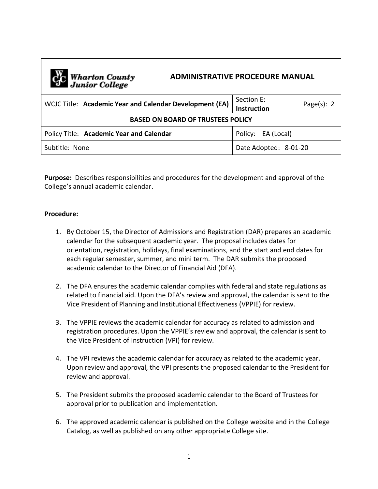| C <sub>1</sub> C Wharton County<br>Junior College       | <b>ADMINISTRATIVE PROCEDURE MANUAL</b> |                                  |                |
|---------------------------------------------------------|----------------------------------------|----------------------------------|----------------|
| WCJC Title: Academic Year and Calendar Development (EA) |                                        | Section F:<br><b>Instruction</b> | Page $(s)$ : 2 |
| <b>BASED ON BOARD OF TRUSTEES POLICY</b>                |                                        |                                  |                |
| Policy Title: Academic Year and Calendar                |                                        | Policy: EA (Local)               |                |
| Subtitle: None                                          |                                        | Date Adopted: 8-01-20            |                |

**Purpose:** Describes responsibilities and procedures for the development and approval of the College's annual academic calendar.

## **Procedure:**

- 1. By October 15, the Director of Admissions and Registration (DAR) prepares an academic calendar for the subsequent academic year. The proposal includes dates for orientation, registration, holidays, final examinations, and the start and end dates for each regular semester, summer, and mini term. The DAR submits the proposed academic calendar to the Director of Financial Aid (DFA).
- 2. The DFA ensures the academic calendar complies with federal and state regulations as related to financial aid. Upon the DFA's review and approval, the calendar is sent to the Vice President of Planning and Institutional Effectiveness (VPPIE) for review.
- 3. The VPPIE reviews the academic calendar for accuracy as related to admission and registration procedures. Upon the VPPIE's review and approval, the calendar is sent to the Vice President of Instruction (VPI) for review.
- 4. The VPI reviews the academic calendar for accuracy as related to the academic year. Upon review and approval, the VPI presents the proposed calendar to the President for review and approval.
- 5. The President submits the proposed academic calendar to the Board of Trustees for approval prior to publication and implementation.
- 6. The approved academic calendar is published on the College website and in the College Catalog, as well as published on any other appropriate College site.